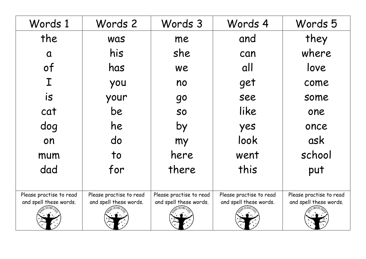| Words 2                                           | Words 3                                           | Words 4                                           | Words 5                                           |
|---------------------------------------------------|---------------------------------------------------|---------------------------------------------------|---------------------------------------------------|
| <b>Was</b>                                        | me                                                | and                                               | they                                              |
| his                                               | she                                               | can                                               | where                                             |
| has                                               | we                                                | all                                               | love                                              |
| you                                               | no                                                | get                                               | come                                              |
| your                                              | <b>go</b>                                         | see                                               | some                                              |
| be                                                | <b>SO</b>                                         | like                                              | one                                               |
| he                                                | by                                                | yes                                               | once                                              |
| do                                                | my                                                | look                                              | ask                                               |
| to                                                | here                                              | went                                              | school                                            |
| for                                               | there                                             | this                                              | put                                               |
|                                                   |                                                   |                                                   |                                                   |
| Please practise to read<br>and spell these words. | Please practise to read<br>and spell these words. | Please practise to read<br>and spell these words. | Please practise to read<br>and spell these words. |
|                                                   |                                                   |                                                   |                                                   |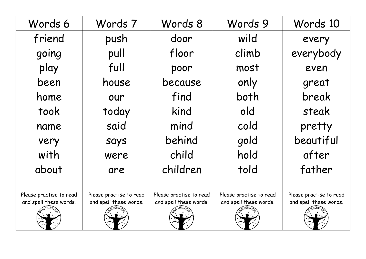| Words 6                 | Words 7                 | Words 8                 | Words 9                 | Words 10                |
|-------------------------|-------------------------|-------------------------|-------------------------|-------------------------|
| friend                  | push                    | door                    | wild                    | every                   |
| going                   | pull                    | floor                   | climb                   | everybody               |
| play                    | full                    | poor                    | most                    | even                    |
| been                    | house                   | because                 | only                    | great                   |
| home                    | our                     | find                    | both                    | break                   |
| took                    | today                   | kind                    | old                     | steak                   |
| name                    | said                    | mind                    | cold                    | pretty                  |
| very                    | says                    | behind                  | gold                    | beautiful               |
| with                    | were                    | child                   | hold                    | after                   |
| about                   | are                     | children                | told                    | father                  |
|                         |                         |                         |                         |                         |
| Please practise to read | Please practise to read | Please practise to read | Please practise to read | Please practise to read |
| and spell these words.  | and spell these words.  | and spell these words.  | and spell these words.  | and spell these words.  |
|                         |                         |                         |                         |                         |
|                         |                         |                         |                         |                         |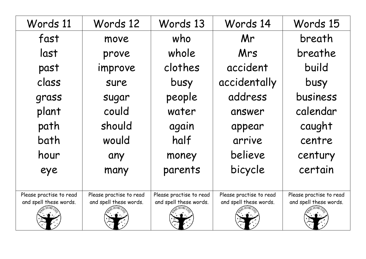| Words 11                                          | Words 12                                          | Words 13                                          | Words 14                                          | Words 15                                          |
|---------------------------------------------------|---------------------------------------------------|---------------------------------------------------|---------------------------------------------------|---------------------------------------------------|
| fast                                              | move                                              | who                                               | Mr                                                | breath                                            |
| last                                              | prove                                             | whole                                             | Mrs                                               | breathe                                           |
| past                                              | improve                                           | clothes                                           | accident                                          | build                                             |
| class                                             | sure                                              | busy                                              | accidentally                                      | busy                                              |
| grass                                             | sugar                                             | people                                            | address                                           | business                                          |
| plant                                             | could                                             | water                                             | answer                                            | calendar                                          |
| path                                              | should                                            | again                                             | appear                                            | caught                                            |
| bath                                              | would                                             | half                                              | arrive                                            | centre                                            |
| hour                                              | any                                               | money                                             | believe                                           | century                                           |
| eye                                               | many                                              | parents                                           | bicycle                                           | certain                                           |
|                                                   |                                                   |                                                   |                                                   |                                                   |
| Please practise to read<br>and spell these words. | Please practise to read<br>and spell these words. | Please practise to read<br>and spell these words. | Please practise to read<br>and spell these words. | Please practise to read<br>and spell these words. |
|                                                   |                                                   |                                                   |                                                   |                                                   |
|                                                   |                                                   |                                                   |                                                   |                                                   |
|                                                   |                                                   |                                                   |                                                   |                                                   |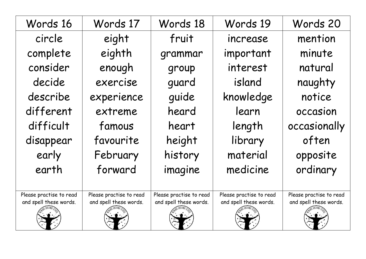| Words 16                | Words 17                | Words 18                | Words 19                | Words 20                |
|-------------------------|-------------------------|-------------------------|-------------------------|-------------------------|
| circle                  | eight                   | fruit                   | increase                | mention                 |
| complete                | eighth                  | grammar                 | important               | minute                  |
| consider                | enough                  | group                   | interest                | natural                 |
| decide                  | exercise                | guard                   | island                  | naughty                 |
| describe                | experience              | quide                   | knowledge               | notice                  |
| different               | extreme                 | heard                   | learn                   | occasion                |
| difficult               | famous                  | heart                   | length                  | occasionally            |
| disappear               | favourite               | height                  | library                 | often                   |
| early                   | February                | history                 | material                | opposite                |
| earth                   | forward                 | imagine                 | medicine                | ordinary                |
|                         |                         |                         |                         |                         |
| Please practise to read | Please practise to read | Please practise to read | Please practise to read | Please practise to read |
| and spell these words.  | and spell these words.  | and spell these words.  | and spell these words.  | and spell these words.  |
|                         |                         |                         |                         |                         |
|                         |                         |                         |                         |                         |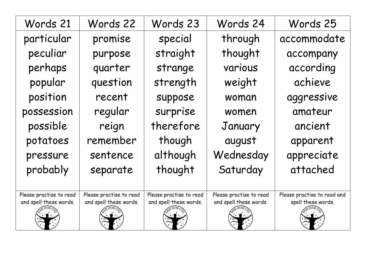| Words 21                | Words 22                | Words 23                | Words 24                | Words 25                    |
|-------------------------|-------------------------|-------------------------|-------------------------|-----------------------------|
| particular              | promise                 | special                 | through                 | accommodate                 |
| peculiar                | purpose                 | straight                | thought                 | accompany                   |
| perhaps                 | quarter                 | strange                 | various                 | according                   |
| popular                 | question                | strength                | weight                  | achieve                     |
| position                | recent                  | suppose                 | woman                   | aggressive                  |
| possession              | regular                 | surprise                | women                   | amateur                     |
| possible                | reign                   | therefore               | January                 | ancient                     |
| potatoes                | remember                | though                  | august                  | apparent                    |
| pressure                | sentence                | although                | Wednesday               | appreciate                  |
| probably                | separate                | thought                 | Saturday                | attached                    |
|                         |                         |                         |                         |                             |
| Please practise to read | Please practise to read | Please practise to read | Please practise to read | Please practise to read and |
| and spell these words.  | and spell these words.  | and spell these words.  | and spell these words.  | spell these words.          |
|                         |                         |                         |                         |                             |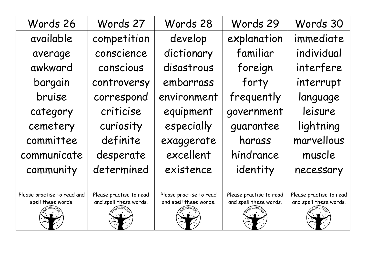| Words 26                                          | Words 27                                          | Words 28                                          | Words 29                                          | Words 30                                          |
|---------------------------------------------------|---------------------------------------------------|---------------------------------------------------|---------------------------------------------------|---------------------------------------------------|
| available                                         | competition                                       | develop                                           | explanation                                       | immediate                                         |
| average                                           | conscience                                        | dictionary                                        | familiar                                          | individual                                        |
| awkward                                           | conscious                                         | disastrous                                        | foreign                                           | interfere                                         |
| bargain                                           | controversy                                       | embarrass                                         | forty                                             | interrupt                                         |
| bruise                                            | correspond                                        | environment                                       | frequently                                        | language                                          |
| category                                          | criticise                                         | equipment                                         | government                                        | leisure                                           |
| cemetery                                          | curiosity                                         | especially                                        | guarantee                                         | lightning                                         |
| committee                                         | definite                                          | exaggerate                                        | harass                                            | marvellous                                        |
| communicate                                       | desperate                                         | excellent                                         | hindrance                                         | muscle                                            |
| community                                         | determined                                        | existence                                         | identity                                          | necessary                                         |
|                                                   |                                                   |                                                   |                                                   |                                                   |
| Please practise to read and<br>spell these words. | Please practise to read<br>and spell these words. | Please practise to read<br>and spell these words. | Please practise to read<br>and spell these words. | Please practise to read<br>and spell these words. |
|                                                   |                                                   |                                                   |                                                   |                                                   |